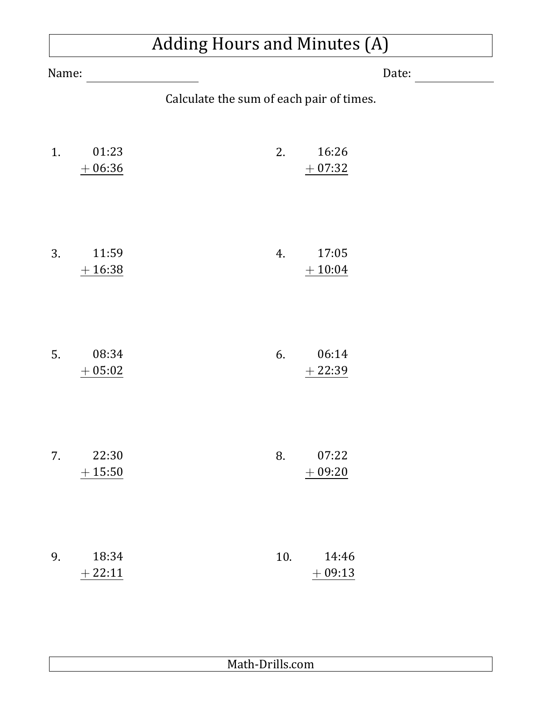### Adding Hours and Minutes (A)

| Name: |                       | Date:                                    |     |                   |  |
|-------|-----------------------|------------------------------------------|-----|-------------------|--|
|       |                       | Calculate the sum of each pair of times. |     |                   |  |
| 1.    | 01:23<br>$+06:36$     |                                          | 2.  | 16:26<br>$+07:32$ |  |
| 3.    | 11:59<br>$+16:38$     |                                          | 4.  | 17:05<br>$+10:04$ |  |
| 5.    | 08:34<br>05:02<br>$+$ |                                          | 6.  | 06:14<br>$+22:39$ |  |
| 7.    | 22:30<br>$+15:50$     |                                          | 8.  | 07:22<br>$+09:20$ |  |
| 9.    | 18:34<br>$+22:11$     |                                          | 10. | 14:46<br>$+09:13$ |  |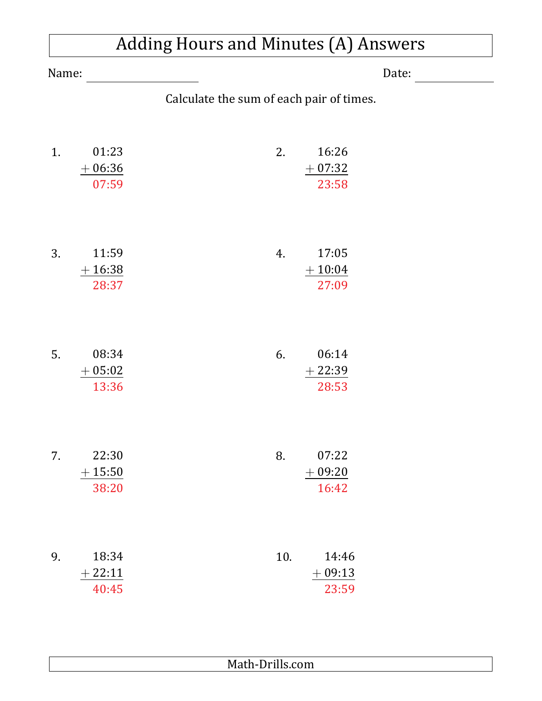|       | <b>Adding Hours and Minutes (A) Answers</b> |                                          |  |
|-------|---------------------------------------------|------------------------------------------|--|
| Name: |                                             | Date:                                    |  |
|       |                                             | Calculate the sum of each pair of times. |  |
| 1.    | 01:23<br>$+06:36$<br>07:59                  | 16:26<br>2.<br>$+07:32$<br>23:58         |  |
| 3.    | 11:59<br>$+16:38$<br>28:37                  | 17:05<br>4.<br>$+10:04$<br>27:09         |  |
| 5.    | 08:34<br>$+05:02$<br>13:36                  | 06:14<br>6.<br>$+22:39$<br>28:53         |  |
| 7.    | 22:30<br>$+15:50$<br>38:20                  | 07:22<br>8.<br>$+09:20$<br>16:42         |  |
| 9.    | 18:34<br>$+22:11$<br>40:45                  | 10.<br>14:46<br>$+09:13$<br>23:59        |  |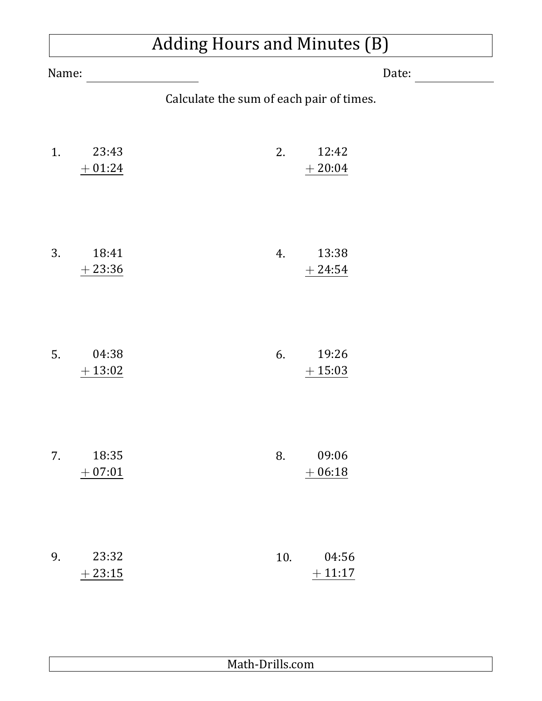# Adding Hours and Minutes (B)

| Name: |                   | Date:                                    |  |
|-------|-------------------|------------------------------------------|--|
|       |                   | Calculate the sum of each pair of times. |  |
| 1.    | 23:43<br>$+01:24$ | 12:42<br>2.<br>$+20:04$                  |  |
| 3.    | 18:41<br>$+23:36$ | 13:38<br>4.<br>$+ 24:54$                 |  |
| 5.    | 04:38<br>$+13:02$ | 19:26<br>6.<br>$+15:03$                  |  |
| 7.    | 18:35<br>$+07:01$ | 09:06<br>8.<br>$+06:18$                  |  |
| 9.    | 23:32<br>$+23:15$ | 04:56<br>10.<br>$+11:17$                 |  |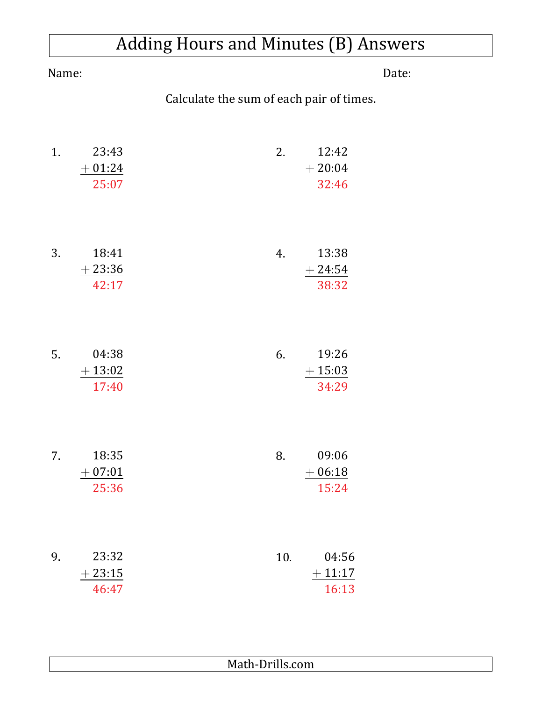|       | <b>Adding Hours and Minutes (B) Answers</b> |                                          |  |
|-------|---------------------------------------------|------------------------------------------|--|
| Name: |                                             | Date:                                    |  |
|       |                                             | Calculate the sum of each pair of times. |  |
| 1.    | 23:43<br>$+01:24$<br>25:07                  | 12:42<br>2.<br>$+20:04$<br>32:46         |  |
| 3.    | 18:41<br>$+23:36$<br>42:17                  | 13:38<br>4.<br>$+24:54$<br>38:32         |  |
| 5.    | 04:38<br>$+13:02$<br>17:40                  | 19:26<br>6.<br>$+15:03$<br>34:29         |  |
| 7.    | 18:35<br>$+07:01$<br>25:36                  | 09:06<br>8.<br>$+06:18$<br>15:24         |  |
| 9.    | 23:32<br>$+23:15$<br>46:47                  | 10.<br>04:56<br>$+11:17$<br>16:13        |  |

#### Math-Drills.com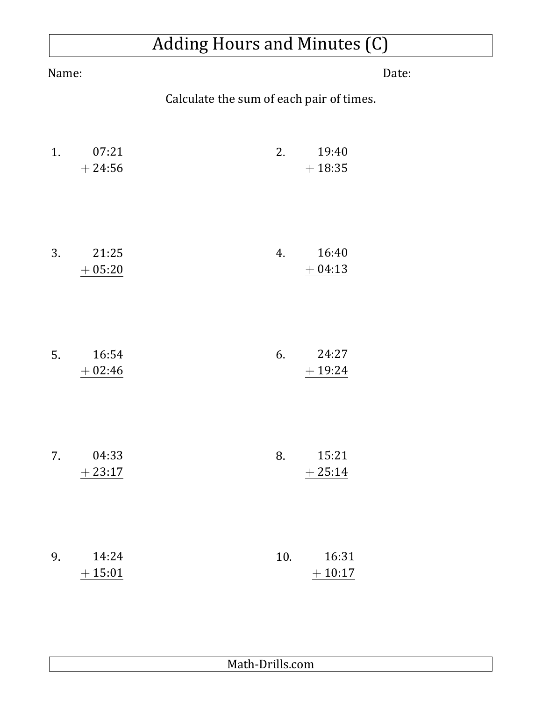### Adding Hours and Minutes (C)

| Name: |                   | Date:                                    |
|-------|-------------------|------------------------------------------|
|       |                   | Calculate the sum of each pair of times. |
| 1.    | 07:21<br>$+24:56$ | 19:40<br>2.<br>$+18:35$                  |
| 3.    | 21:25<br>$+05:20$ | 16:40<br>4.<br>$+04:13$                  |
| 5.    | 16:54<br>$+02:46$ | 6.<br>24:27<br>$+19:24$                  |
| 7.    | 04:33<br>$+23:17$ | 15:21<br>8.<br>$+25:14$                  |
| 9.    | 14:24<br>$+15:01$ | 10.<br>16:31<br>$+10:17$                 |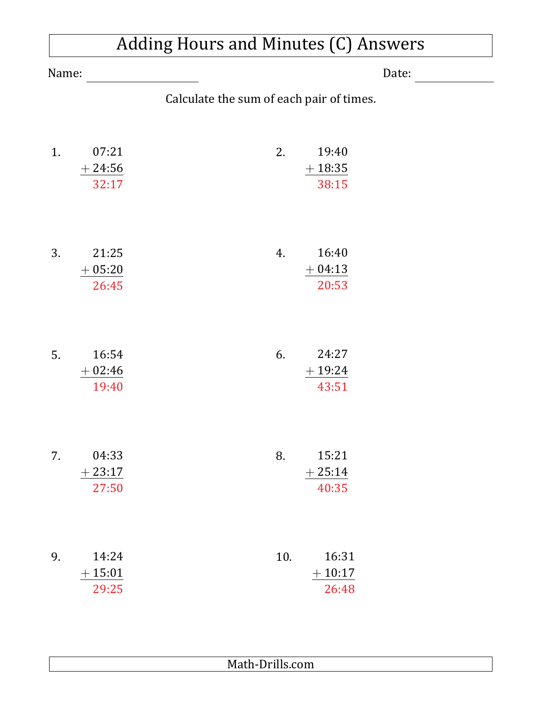|       | Adding Hours and Minutes (C) Answers |                                          |  |
|-------|--------------------------------------|------------------------------------------|--|
| Name: |                                      | Date:                                    |  |
|       |                                      | Calculate the sum of each pair of times. |  |
| 1.    | 07:21<br>$+24:56$<br>32:17           | 19:40<br>2.<br>$+18:35$<br>38:15         |  |
| 3.    | 21:25<br>$+05:20$<br>26:45           | 16:40<br>4.<br>$+04:13$<br>20:53         |  |
| 5.    | 16:54<br>$+02:46$<br>19:40           | 24:27<br>6.<br>$+19:24$<br>43:51         |  |
| 7.    | 04:33<br>$+23:17$<br>27:50           | 15:21<br>8.<br>$+25:14$<br>40:35         |  |
| 9.    | 14:24<br>$+15:01$<br>29:25           | 16:31<br>10.<br>$+10:17$<br>26:48        |  |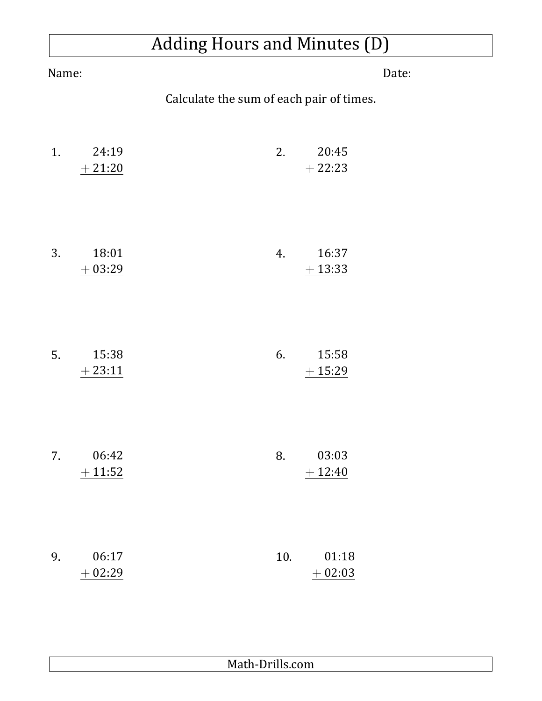# Adding Hours and Minutes (D)

| Name: |                   | Date:                                    |                   |  |
|-------|-------------------|------------------------------------------|-------------------|--|
|       |                   | Calculate the sum of each pair of times. |                   |  |
| 1.    | 24:19<br>$+21:20$ | 2.                                       | 20:45<br>$+22:23$ |  |
| 3.    | 18:01<br>$+03:29$ | 4.                                       | 16:37<br>$+13:33$ |  |
| 5.    | 15:38<br>$+23:11$ | 6.                                       | 15:58<br>$+15:29$ |  |
| 7.    | 06:42<br>$+11:52$ | 8.                                       | 03:03<br>$+12:40$ |  |
| 9.    | 06:17<br>$+02:29$ | 10.                                      | 01:18<br>$+02:03$ |  |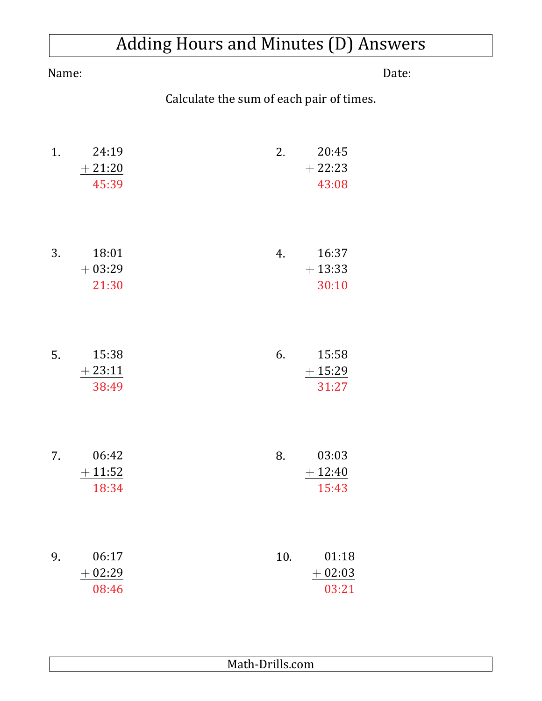|                | <b>Adding Hours and Minutes (D) Answers</b> |                                          |  |
|----------------|---------------------------------------------|------------------------------------------|--|
| Name:<br>Date: |                                             |                                          |  |
|                |                                             | Calculate the sum of each pair of times. |  |
| 1.             | 24:19<br>$+21:20$<br>45:39                  | 2.<br>20:45<br>$+22:23$<br>43:08         |  |
| 3.             | 18:01<br>$+03:29$<br>21:30                  | 16:37<br>4.<br>$+13:33$<br>30:10         |  |
| 5.             | 15:38<br>$+23:11$<br>38:49                  | 6.<br>15:58<br>$+15:29$<br>31:27         |  |
| 7.             | 06:42<br>$+11:52$<br>18:34                  | 03:03<br>8.<br>$+12:40$<br>15:43         |  |
| 9.             | 06:17<br>$+02:29$<br>08:46                  | 01:18<br>10.<br>$+02:03$<br>03:21        |  |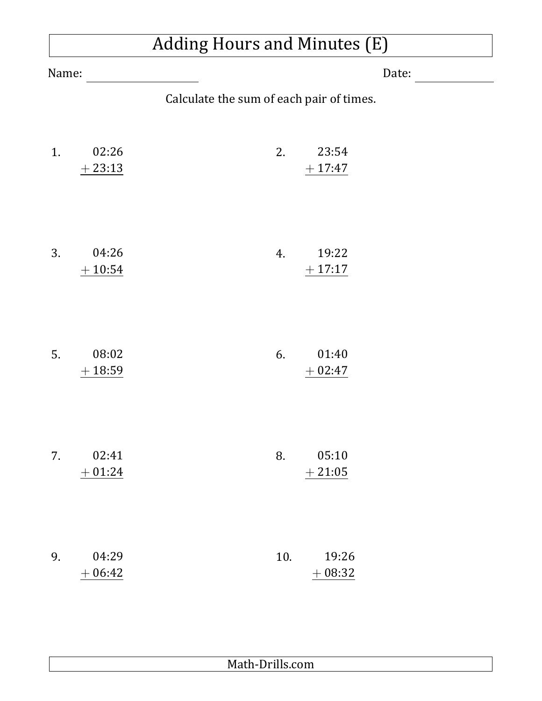# Adding Hours and Minutes (E)

| Name: |                   | Date:                                    |  |
|-------|-------------------|------------------------------------------|--|
|       |                   | Calculate the sum of each pair of times. |  |
| 1.    | 02:26<br>$+23:13$ | 2.<br>23:54<br>$+17:47$                  |  |
| 3.    | 04:26<br>$+10:54$ | 19:22<br>4.<br>$+17:17$                  |  |
| 5.    | 08:02<br>$+18:59$ | 01:40<br>6.<br>$+02:47$                  |  |
| 7.    | 02:41<br>$+01:24$ | 05:10<br>8.<br>$+21:05$                  |  |
| 9.    | 04:29<br>$+06:42$ | 19:26<br>10.<br>$+08:32$                 |  |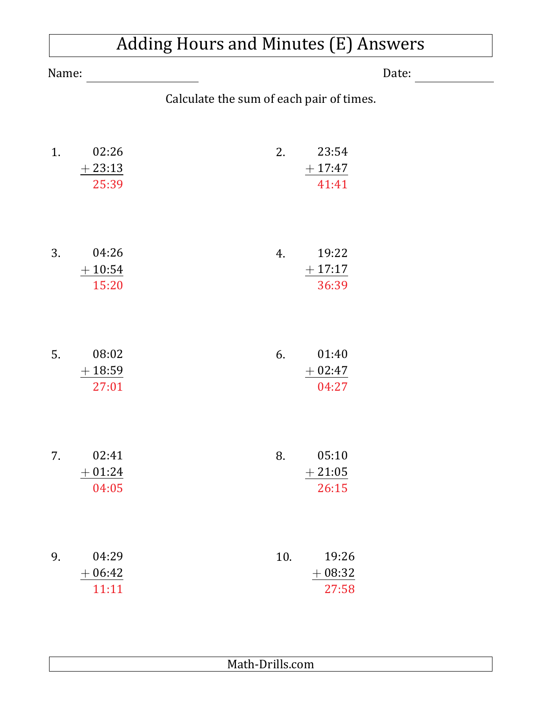|       | <b>Adding Hours and Minutes (E) Answers</b> |                                          |  |
|-------|---------------------------------------------|------------------------------------------|--|
| Name: |                                             | Date:                                    |  |
|       |                                             | Calculate the sum of each pair of times. |  |
| 1.    | 02:26<br>$+23:13$<br>25:39                  | 2.<br>23:54<br>$+17:47$<br>41:41         |  |
| 3.    | 04:26<br>$+10:54$<br>15:20                  | 19:22<br>4.<br>$+17:17$<br>36:39         |  |
| 5.    | 08:02<br>$+18:59$<br>27:01                  | 01:40<br>6.<br>$+02:47$<br>04:27         |  |
| 7.    | 02:41<br>$+01:24$<br>04:05                  | 05:10<br>8.<br>$+21:05$<br>26:15         |  |
| 9.    | 04:29<br>$+06:42$<br>11:11                  | 10.<br>19:26<br>$+08:32$<br>27:58        |  |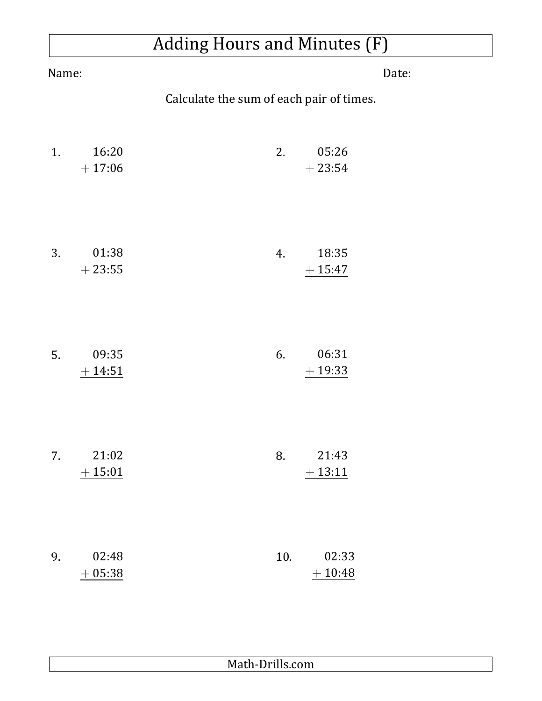### Adding Hours and Minutes (F)

| Name: |                   | Date:                                    |  |
|-------|-------------------|------------------------------------------|--|
|       |                   | Calculate the sum of each pair of times. |  |
| 1.    | 16:20<br>$+17:06$ | 2.<br>05:26<br>$+23:54$                  |  |
| 3.    | 01:38<br>$+23:55$ | 18:35<br>4.<br>$+15:47$                  |  |
| 5.    | 09:35<br>$+14:51$ | 06:31<br>6.<br>$+19:33$                  |  |
| 7.    | 21:02<br>$+15:01$ | 21:43<br>8.<br>$+13:11$                  |  |
| 9.    | 02:48<br>$+05:38$ | 10.<br>02:33<br>$+10:48$                 |  |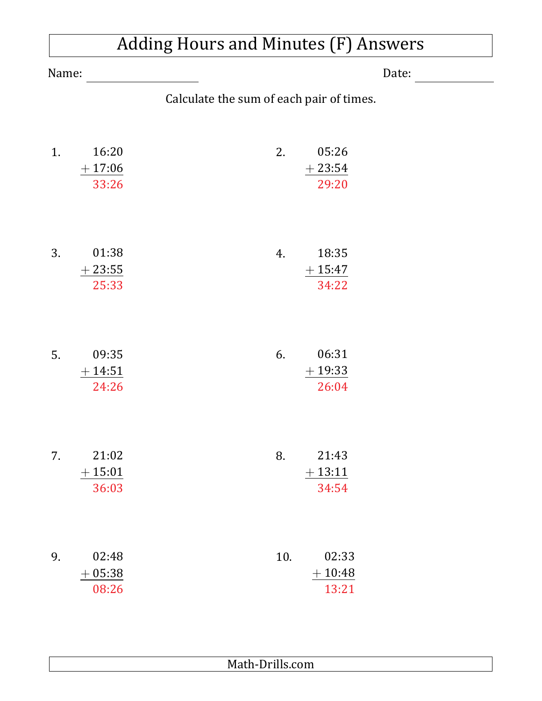|       | <b>Adding Hours and Minutes (F) Answers</b> |                                          |  |
|-------|---------------------------------------------|------------------------------------------|--|
| Name: |                                             | Date:                                    |  |
|       |                                             | Calculate the sum of each pair of times. |  |
| 1.    | 16:20<br>$+17:06$<br>33:26                  | 05:26<br>2.<br>$+23:54$<br>29:20         |  |
| 3.    | 01:38<br>$+23:55$<br>25:33                  | 18:35<br>4.<br>$+15:47$<br>34:22         |  |
| 5.    | 09:35<br>$+14:51$<br>24:26                  | 06:31<br>6.<br>$+19:33$<br>26:04         |  |
| 7.    | 21:02<br>$+15:01$<br>36:03                  | 8.<br>21:43<br>$+13:11$<br>34:54         |  |
| 9.    | 02:48<br>$+05:38$<br>08:26                  | 10.<br>02:33<br>$+10:48$<br>13:21        |  |

 $\overline{1}$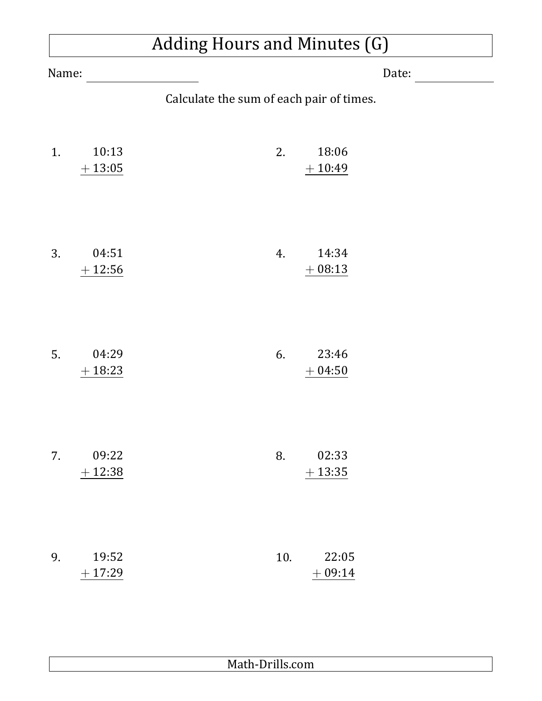### Adding Hours and Minutes (G)

| Name: |                   | Date:                                    |                   |  |
|-------|-------------------|------------------------------------------|-------------------|--|
|       |                   | Calculate the sum of each pair of times. |                   |  |
| 1.    | 10:13<br>$+13:05$ | 2.                                       | 18:06<br>$+10:49$ |  |
| 3.    | 04:51<br>$+12:56$ | 4.                                       | 14:34<br>$+08:13$ |  |
| 5.    | 04:29<br>$+18:23$ | 6.                                       | 23:46<br>$+04:50$ |  |
| 7.    | 09:22<br>$+12:38$ | 8.                                       | 02:33<br>$+13:35$ |  |
| 9.    | 19:52<br>$+17:29$ | 10.                                      | 22:05<br>$+09:14$ |  |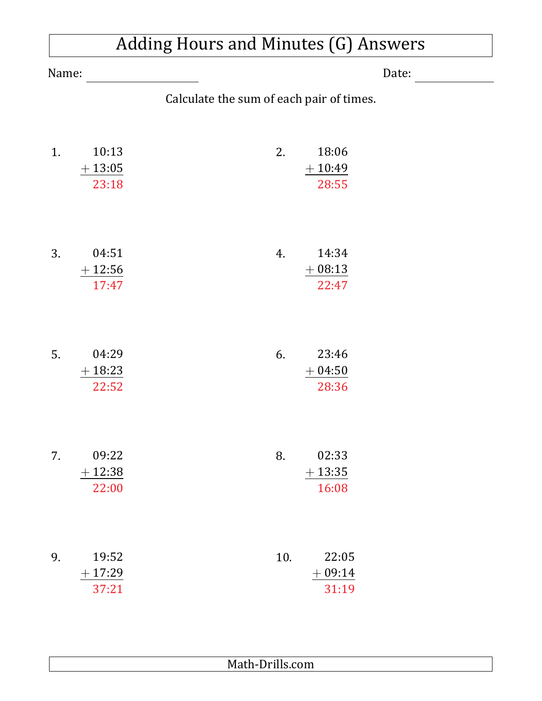|       | <b>Adding Hours and Minutes (G) Answers</b> |                                          |  |
|-------|---------------------------------------------|------------------------------------------|--|
| Name: |                                             | Date:                                    |  |
|       |                                             | Calculate the sum of each pair of times. |  |
| 1.    | 10:13<br>$+13:05$<br>23:18                  | 18:06<br>2.<br>$+10:49$<br>28:55         |  |
| 3.    | 04:51<br>$+12:56$<br>17:47                  | 4.<br>14:34<br>$+08:13$<br>22:47         |  |
| 5.    | 04:29<br>$+18:23$<br>22:52                  | 23:46<br>6.<br>$+04:50$<br>28:36         |  |
| 7.    | 09:22<br>$+12:38$<br>22:00                  | 8.<br>02:33<br>$+13:35$<br>16:08         |  |
| 9.    | 19:52<br>$+17:29$<br>37:21                  | 10.<br>22:05<br>$+09:14$<br>31:19        |  |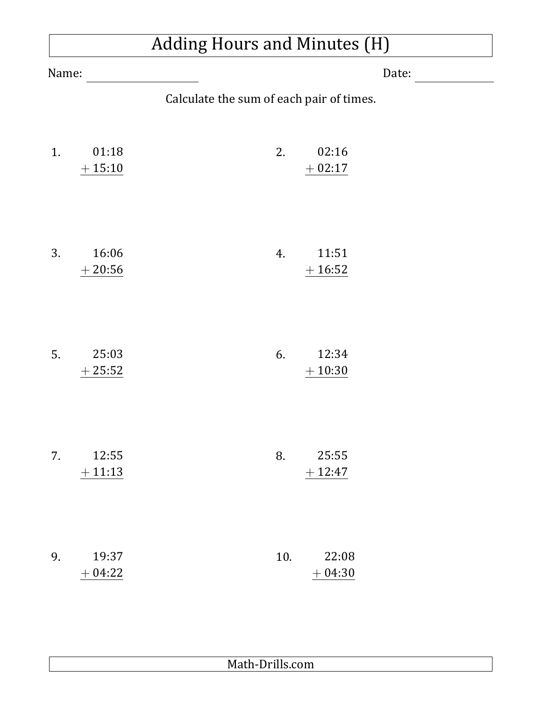### Adding Hours and Minutes (H)

| Name: |                   |                                          | Date: |
|-------|-------------------|------------------------------------------|-------|
|       |                   | Calculate the sum of each pair of times. |       |
| 1.    | 01:18<br>$+15:10$ | 02:16<br>2.<br>$+02:17$                  |       |
| 3.    | 16:06<br>$+20:56$ | 11:51<br>4.<br>$+16:52$                  |       |
| 5.    | 25:03<br>$+25:52$ | 12:34<br>6.<br>$+10:30$                  |       |
| 7.    | 12:55<br>$+11:13$ | 8.<br>25:55<br>$+12:47$                  |       |
| 9.    | 19:37<br>$+04:22$ | 10.<br>22:08<br>$+04:30$                 |       |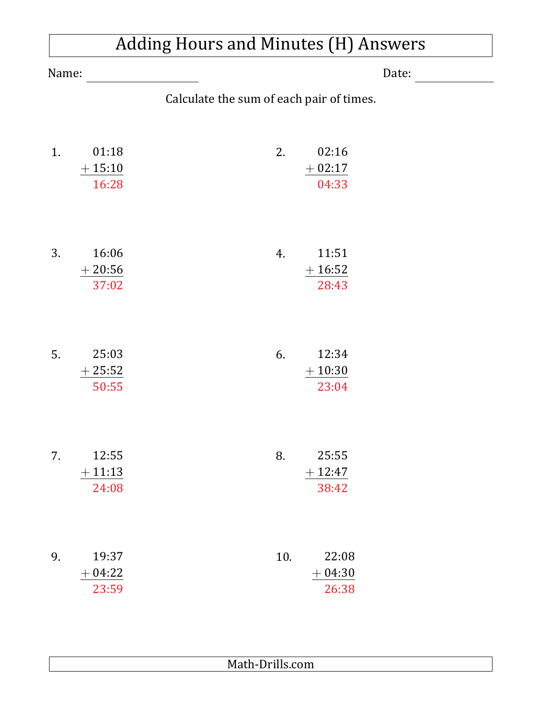|       | <b>Adding Hours and Minutes (H) Answers</b> |                                          |  |
|-------|---------------------------------------------|------------------------------------------|--|
| Name: |                                             | Date:                                    |  |
|       |                                             | Calculate the sum of each pair of times. |  |
| 1.    | 01:18<br>$+15:10$<br>16:28                  | 02:16<br>2.<br>$+02:17$<br>04:33         |  |
| 3.    | 16:06<br>$+20:56$<br>37:02                  | 11:51<br>4.<br>$+16:52$<br>28:43         |  |
| 5.    | 25:03<br>$+25:52$<br>50:55                  | 12:34<br>6.<br>$+10:30$<br>23:04         |  |
| 7.    | 12:55<br>$+11:13$<br>24:08                  | 8.<br>25:55<br>$+12:47$<br>38:42         |  |
| 9.    | 19:37<br>$+04:22$<br>23:59                  | 10.<br>22:08<br>$+04:30$<br>26:38        |  |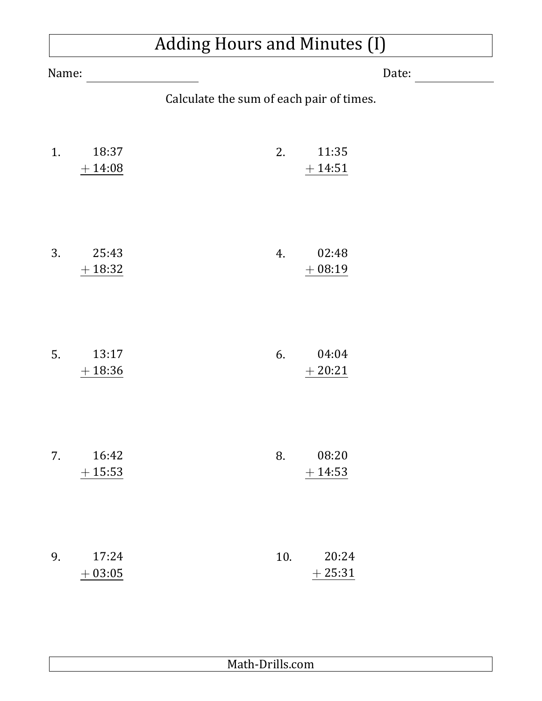## Adding Hours and Minutes (I)

| Name: |                    | Date:                                    |
|-------|--------------------|------------------------------------------|
|       |                    | Calculate the sum of each pair of times. |
| 1.    | 18:37<br>$+ 14:08$ | 2.<br>11:35<br>$+14:51$                  |
| 3.    | 25:43<br>$+18:32$  | 02:48<br>4.<br>$+08:19$                  |
| 5.    | 13:17<br>$+18:36$  | 04:04<br>6.<br>$+20:21$                  |
| 7.    | 16:42<br>$+15:53$  | 08:20<br>8.<br>$+14:53$                  |
| 9.    | 17:24<br>$+03:05$  | 20:24<br>10.<br>$+25:31$                 |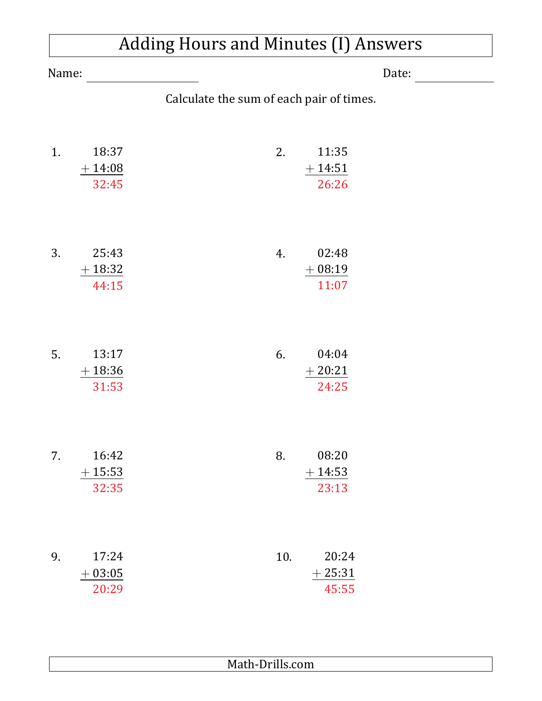|       | <b>Adding Hours and Minutes (I) Answers</b> |                                          |  |
|-------|---------------------------------------------|------------------------------------------|--|
| Name: | Date:                                       |                                          |  |
|       |                                             | Calculate the sum of each pair of times. |  |
| 1.    | 18:37<br>$+14:08$<br>32:45                  | 2.<br>11:35<br>$+14:51$<br>26:26         |  |
| 3.    | 25:43<br>$+18:32$<br>44:15                  | 02:48<br>4.<br>$+08:19$<br>11:07         |  |
| 5.    | 13:17<br>$+18:36$<br>31:53                  | 04:04<br>6.<br>$+20:21$<br>24:25         |  |
| 7.    | 16:42<br>$+15:53$<br>32:35                  | 08:20<br>8.<br>$+14:53$<br>23:13         |  |
| 9.    | 17:24<br>$+03:05$<br>20:29                  | 20:24<br>10.<br>$+25:31$<br>45:55        |  |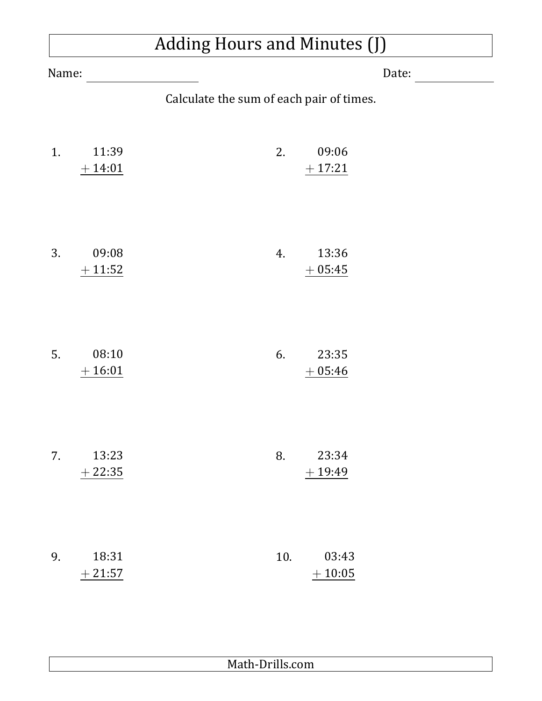### Adding Hours and Minutes (J)

| Name: |                   | Date:                                    |  |
|-------|-------------------|------------------------------------------|--|
|       |                   | Calculate the sum of each pair of times. |  |
| 1.    | 11:39<br>$+14:01$ | 09:06<br>2.<br>$+17:21$                  |  |
| 3.    | 09:08<br>$+11:52$ | 13:36<br>4.<br>$+05:45$                  |  |
| 5.    | 08:10<br>$+16:01$ | 23:35<br>6.<br>$+05:46$                  |  |
| 7.    | 13:23<br>$+22:35$ | 23:34<br>8.<br>$+19:49$                  |  |
| 9.    | 18:31<br>$+21:57$ | 10.<br>03:43<br>$+10:05$                 |  |